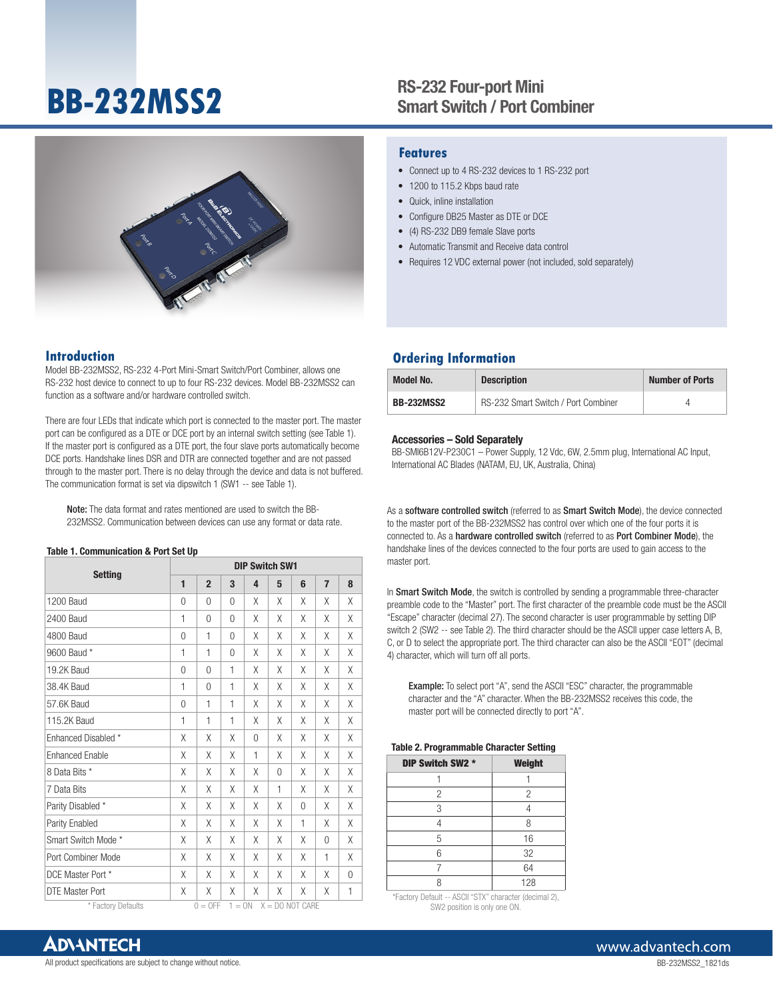# **BB-232MSS2**

## RS-232 Four-port Mini Smart Switch / Port Combiner



## **Features**

- Connect up to 4 RS-232 devices to 1 RS-232 port
- 1200 to 115.2 Kbps baud rate
- Quick, inline installation
- Configure DB25 Master as DTE or DCE
- (4) RS-232 DB9 female Slave ports
- Automatic Transmit and Receive data control
- Requires 12 VDC external power (not included, sold separately)

### **Introduction**

Model BB-232MSS2, RS-232 4-Port Mini-Smart Switch/Port Combiner, allows one RS-232 host device to connect to up to four RS-232 devices. Model BB-232MSS2 can function as a software and/or hardware controlled switch.

There are four LEDs that indicate which port is connected to the master port. The master port can be configured as a DTE or DCE port by an internal switch setting (see Table 1). If the master port is configured as a DTE port, the four slave ports automatically become DCE ports. Handshake lines DSR and DTR are connected together and are not passed through to the master port. There is no delay through the device and data is not buffered. The communication format is set via dipswitch 1 (SW1 -- see Table 1).

Note: The data format and rates mentioned are used to switch the BB-232MSS2. Communication between devices can use any format or data rate.

#### Table 1. Communication & Port Set Up

| <b>Setting</b>         | <b>DIP Switch SW1</b> |                |          |   |              |          |                |   |
|------------------------|-----------------------|----------------|----------|---|--------------|----------|----------------|---|
|                        | 1                     | $\overline{2}$ | 3        | 4 | 5            | 6        | $\overline{7}$ | 8 |
| <b>1200 Baud</b>       | $\Omega$              | 0              | $\Omega$ | X | X            | Χ        | X              | X |
| 2400 Baud              | 1                     | $\Omega$       | $\Omega$ | χ | Χ            | Χ        | X              | X |
| 4800 Baud              | $\mathbf{0}$          | 1              | $\Omega$ | X | X            | Χ        | X              | Χ |
| 9600 Baud *            | 1                     | 1              | $\Omega$ | χ | Χ            | Χ        | X              | X |
| 19.2K Baud             | $\Omega$              | $\Omega$       | 1        | X | X            | Χ        | X              | X |
| 38.4K Baud             | 1                     | $\Omega$       | 1        | Χ | X            | X        | X              | X |
| 57.6K Baud             | 0                     | 1              | 1        | χ | X            | Χ        | X              | Χ |
| 115.2K Baud            | 1                     | 1              | 1        | χ | Χ            | Χ        | X              | X |
| Enhanced Disabled *    | Χ                     | X              | χ        | 0 | Χ            | Χ        | X              | Χ |
| <b>Enhanced Enable</b> | Χ                     | X              | χ        | 1 | Χ            | Χ        | X              | X |
| 8 Data Bits *          | X                     | X              | X        | X | $\Omega$     | Χ        | X              | X |
| 7 Data Bits            | X                     | X              | X        | X | $\mathbf{1}$ | Χ        | X              | X |
| Parity Disabled *      | X                     | X              | X        | χ | X            | $\Omega$ | X              | Χ |
| Parity Enabled         | Χ                     | X              | X        | X | X            | 1        | X              | X |
| Smart Switch Mode *    | Χ                     | X              | X        | Χ | Χ            | Χ        | $\Omega$       | Χ |
| Port Combiner Mode     | Χ                     | X              | χ        | X | X            | Χ        | 1              | X |
| DCE Master Port *      | Χ                     | X              | X        | χ | X            | χ        | X              | 0 |
| <b>DTE Master Port</b> | Χ                     | X              | χ        | Χ | X            | χ        | X              | 1 |

 $*$  Factory Defaults  $0 = 0$ FF  $1 = 0N$   $X = DO NOT CARE$ 

## **Ordering Information**

| <b>Model No.</b>  | <b>Description</b>                  | <b>Number of Ports</b> |
|-------------------|-------------------------------------|------------------------|
| <b>BB-232MSS2</b> | RS-232 Smart Switch / Port Combiner |                        |

#### Accessories – Sold Separately

BB-SMI6B12V-P230C1 – Power Supply, 12 Vdc, 6W, 2.5mm plug, International AC Input, International AC Blades (NATAM, EU, UK, Australia, China)

As a software controlled switch (referred to as Smart Switch Mode), the device connected to the master port of the BB-232MSS2 has control over which one of the four ports it is connected to. As a hardware controlled switch (referred to as Port Combiner Mode), the handshake lines of the devices connected to the four ports are used to gain access to the master port.

In Smart Switch Mode, the switch is controlled by sending a programmable three-character preamble code to the "Master" port. The first character of the preamble code must be the ASCII "Escape" character (decimal 27). The second character is user programmable by setting DIP switch 2 (SW2 -- see Table 2). The third character should be the ASCII upper case letters A, B, C, or D to select the appropriate port. The third character can also be the ASCII "EOT" (decimal 4) character, which will turn off all ports.

Example: To select port "A", send the ASCII "ESC" character, the programmable character and the "A" character. When the BB-232MSS2 receives this code, the master port will be connected directly to port "A".

#### Table 2. Programmable Character Setting

| DIP Switch SW2 * | <b>Weight</b>  |
|------------------|----------------|
|                  |                |
| 2                | $\overline{c}$ |
| 3                |                |
|                  | 8              |
| 5                | 16             |
| 6                | 32             |
|                  | 64             |
|                  | 128            |

\*Factory Default -- ASCII "STX" character (decimal 2), SW2 position is only one ON.

All product specifications are subject to change without notice.